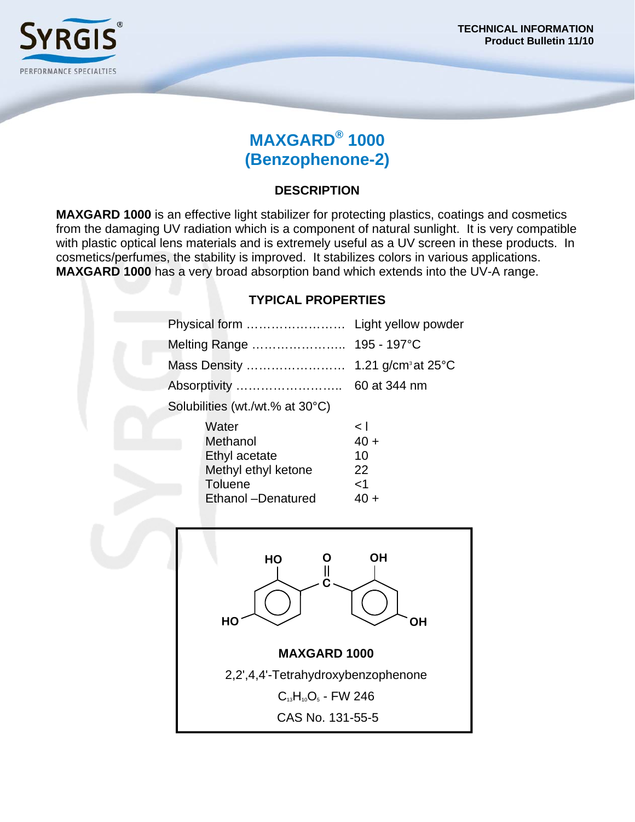

# **MAXGARD® 1000 (Benzophenone-2)**

## **DESCRIPTION**

**MAXGARD 1000** is an effective light stabilizer for protecting plastics, coatings and cosmetics from the damaging UV radiation which is a component of natural sunlight. It is very compatible with plastic optical lens materials and is extremely useful as a UV screen in these products. In cosmetics/perfumes, the stability is improved. It stabilizes colors in various applications. **MAXGARD 1000** has a very broad absorption band which extends into the UV-A range.

### **TYPICAL PROPERTIES**

|                                 | Physical form       | Light yellow powder                      |  |
|---------------------------------|---------------------|------------------------------------------|--|
|                                 | Melting Range       | 195 - 197°C                              |  |
|                                 | Mass Density        | 1.21 g/cm <sup>3</sup> at $25^{\circ}$ C |  |
|                                 | Absorptivity        | 60 at 344 nm                             |  |
| Solubilities (wt./wt.% at 30°C) |                     |                                          |  |
|                                 | Water               | k١                                       |  |
|                                 | Methanol            | $40 +$                                   |  |
|                                 | Ethyl acetate       | 10                                       |  |
|                                 | Methyl ethyl ketone | 22                                       |  |
|                                 | Toluene             | ا>                                       |  |
|                                 | Ethanol -Denatured  | 40 +                                     |  |
|                                 |                     |                                          |  |
|                                 |                     |                                          |  |